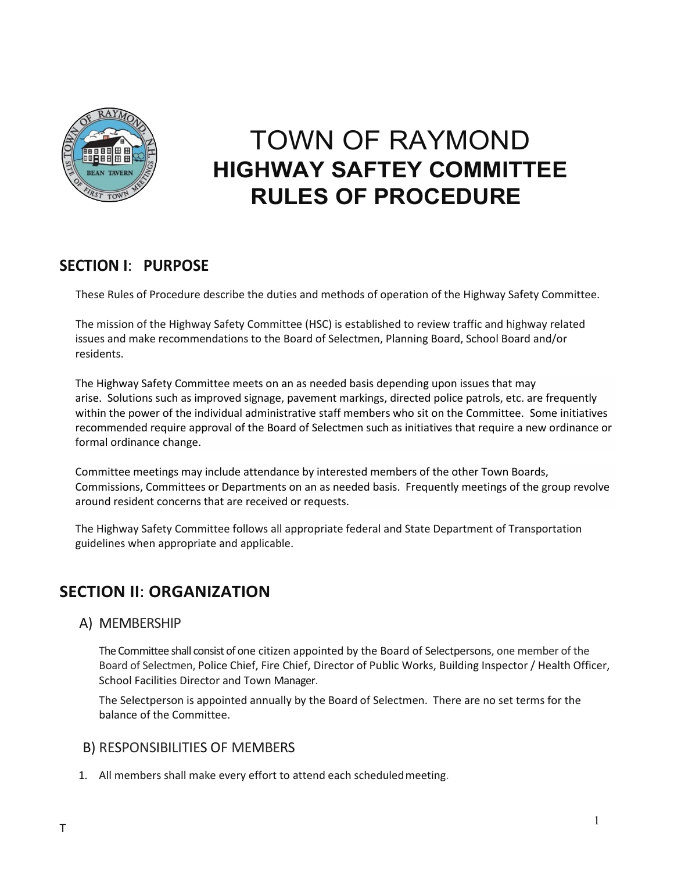

# TOWN OF RAYMOND **HIGHWAY SAFTEY COMMITTEE RULES OF PROCEDURE**

# **SECTION I**: **PURPOSE**

These Rules of Procedure describe the duties and methods of operation of the Highway Safety Committee.

The mission of the Highway Safety Committee (HSC) is established to review traffic and highway related issues and make recommendations to the Board of Selectmen, Planning Board, School Board and/or residents.

The Highway Safety Committee meets on an as needed basis depending upon issues that may arise. Solutions such as improved signage, pavement markings, directed police patrols, etc. are frequently within the power of the individual administrative staff members who sit on the Committee. Some initiatives recommended require approval of the Board of Selectmen such as initiatives that require a new ordinance or formal ordinance change.

Committee meetings may include attendance by interested members of the other Town Boards, Commissions, Committees or Departments on an as needed basis. Frequently meetings of the group revolve around resident concerns that are received or requests.

The Highway Safety Committee follows all appropriate federal and State Department of Transportation guidelines when appropriate and applicable.

# **SECTION II**: **ORGANIZATION**

A) MEMBERSHIP

The Committee shall consist of one citizen appointed by the Board of Selectpersons, one member of the Board of Selectmen, Police Chief, Fire Chief, Director of Public Works, Building Inspector / Health Officer, School Facilities Director and Town Manager.

The Selectperson is appointed annually by the Board of Selectmen. There are no set terms for the balance of the Committee.

### B) RESPONSIBILITIES OF MEMBERS

1. All members shall make every effort to attend each scheduledmeeting.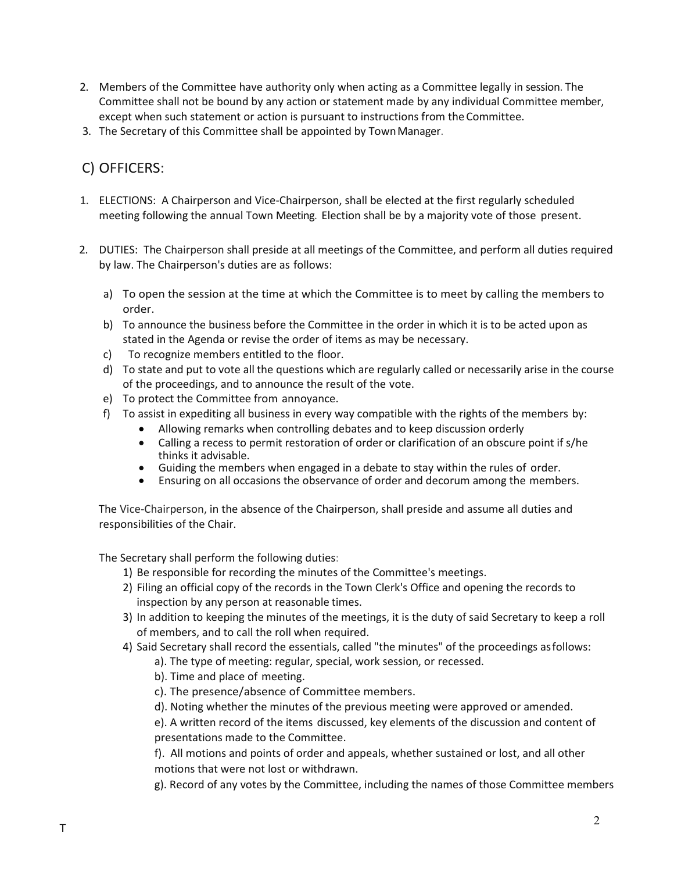- 2. Members of the Committee have authority only when acting as a Committee legally in session. The Committee shall not be bound by any action or statement made by any individual Committee member, except when such statement or action is pursuant to instructions from the Committee.
- 3. The Secretary of this Committee shall be appointed by TownManager.

# C) OFFICERS:

- 1. ELECTIONS: A Chairperson and Vice-Chairperson, shall be elected at the first regularly scheduled meeting following the annual Town Meeting. Election shall be by a majority vote of those present.
- 2. DUTIES: The Chairperson shall preside at all meetings of the Committee, and perform all duties required by law. The Chairperson's duties are as follows:
	- a) To open the session at the time at which the Committee is to meet by calling the members to order.
	- b) To announce the business before the Committee in the order in which it is to be acted upon as stated in the Agenda or revise the order of items as may be necessary.
	- c) To recognize members entitled to the floor.
	- d) To state and put to vote all the questions which are regularly called or necessarily arise in the course of the proceedings, and to announce the result of the vote.
	- e) To protect the Committee from annoyance.
	- f) To assist in expediting all business in every way compatible with the rights of the members by:
		- Allowing remarks when controlling debates and to keep discussion orderly
		- Calling a recess to permit restoration of order or clarification of an obscure point if s/he thinks it advisable.
		- Guiding the members when engaged in a debate to stay within the rules of order.
		- Ensuring on all occasions the observance of order and decorum among the members.

The Vice-Chairperson, in the absence of the Chairperson, shall preside and assume all duties and responsibilities of the Chair.

The Secretary shall perform the following duties:

- 1) Be responsible for recording the minutes of the Committee's meetings.
- 2) Filing an official copy of the records in the Town Clerk's Office and opening the records to inspection by any person at reasonable times.
- 3) In addition to keeping the minutes of the meetings, it is the duty of said Secretary to keep a roll of members, and to call the roll when required.
- 4) Said Secretary shall record the essentials, called "the minutes" of the proceedings as follows:
	- a). The type of meeting: regular, special, work session, or recessed.
	- b). Time and place of meeting.
	- c). The presence/absence of Committee members.
	- d). Noting whether the minutes of the previous meeting were approved or amended.

e). A written record of the items discussed, key elements of the discussion and content of presentations made to the Committee.

f). All motions and points of order and appeals, whether sustained or lost, and all other motions that were not lost or withdrawn.

g). Record of any votes by the Committee, including the names of those Committee members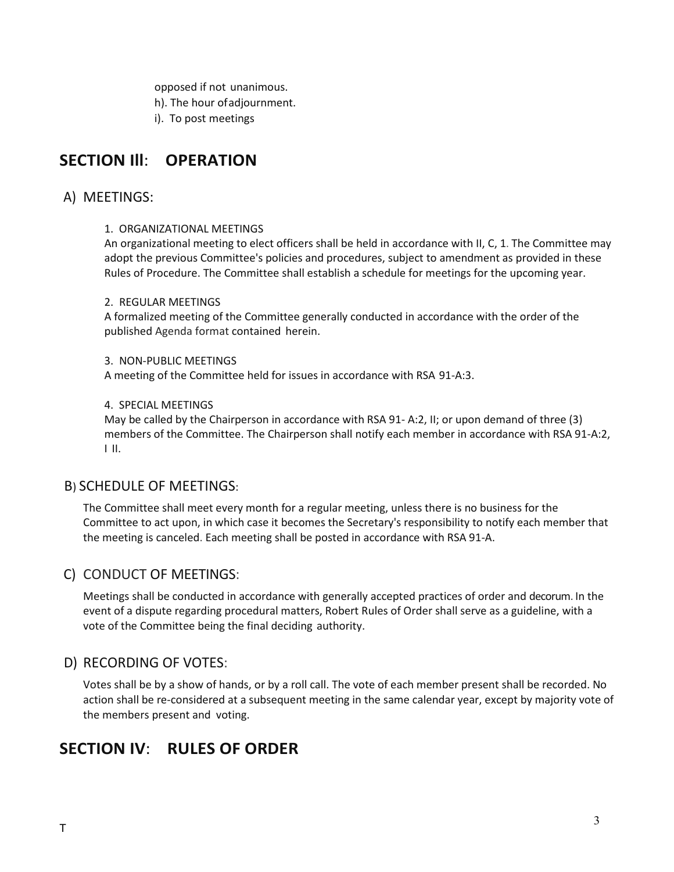opposed if not unanimous. h). The hour ofadjournment. i). To post meetings

# **SECTION Ill**: **OPERATION**

### A) MEETINGS:

#### 1. ORGANIZATIONAL MEETINGS

An organizational meeting to elect officers shall be held in accordance with II, C, 1. The Committee may adopt the previous Committee's policies and procedures, subject to amendment as provided in these Rules of Procedure. The Committee shall establish a schedule for meetings for the upcoming year.

#### 2. REGULAR MEETINGS

A formalized meeting of the Committee generally conducted in accordance with the order of the published Agenda format contained herein.

#### 3. NON-PUBLIC MEETINGS

A meeting of the Committee held for issues in accordance with RSA 91-A:3.

#### 4. SPECIAL MEETINGS

May be called by the Chairperson in accordance with RSA 91- A:2, II; or upon demand of three (3) members of the Committee. The Chairperson shall notify each member in accordance with RSA 91-A:2, I II.

### B) SCHEDULE OF MEETINGS:

The Committee shall meet every month for a regular meeting, unless there is no business for the Committee to act upon, in which case it becomes the Secretary's responsibility to notify each member that the meeting is canceled. Each meeting shall be posted in accordance with RSA 91-A.

# C) CONDUCT OF MEETINGS:

Meetings shall be conducted in accordance with generally accepted practices of order and decorum. In the event of a dispute regarding procedural matters, Robert Rules of Order shall serve as a guideline, with a vote of the Committee being the final deciding authority.

# D) RECORDING OF VOTES:

Votes shall be by a show of hands, or by a roll call. The vote of each member present shall be recorded. No action shall be re-considered at a subsequent meeting in the same calendar year, except by majority vote of the members present and voting.

# **SECTION IV**: **RULES OF ORDER**